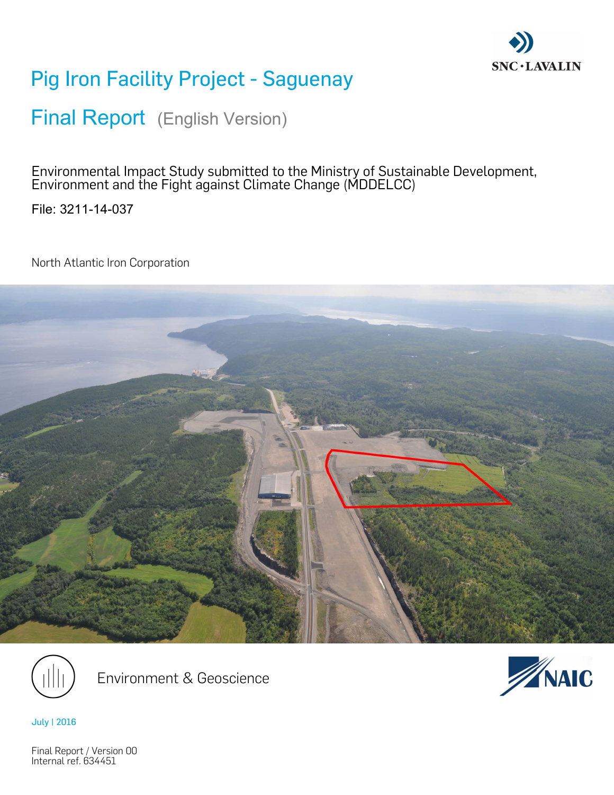

# Pig Iron Facility Project - Saguenay

Final Report (English Version)

Environmental Impact Study submitted to the Ministry of Sustainable Development, Environment and the Fight against Climate Change (MDDELCC)

File: 3211-14-037

North Atlantic Iron Corporation





Environment & Geoscience



July | 2016

Final Report / Version 00 Internal ref. 634451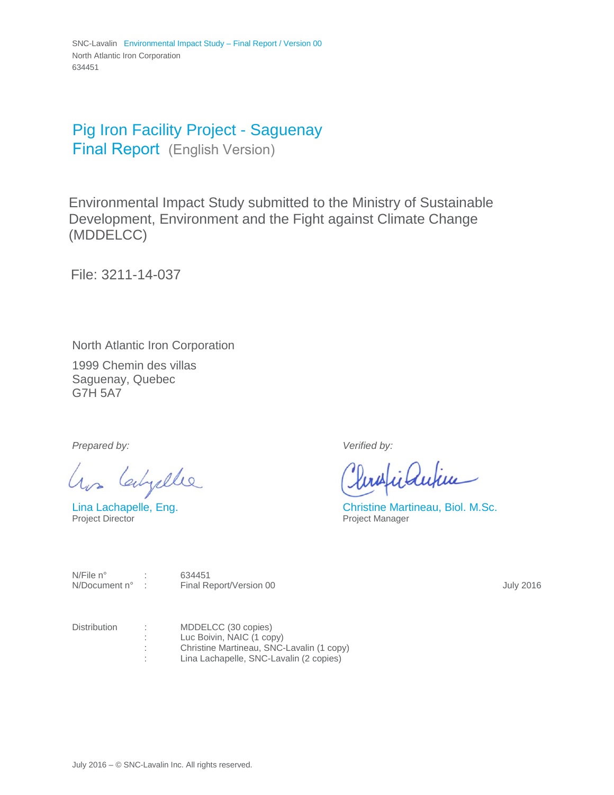### Pig Iron Facility Project - Saguenay Final Report (English Version)

Environmental Impact Study submitted to the Ministry of Sustainable Development, Environment and the Fight against Climate Change (MDDELCC)

File: 3211-14-037

North Atlantic Iron Corporation

1999 Chemin des villas Saguenay, Quebec G7H 5A7

*Prepared by: Verified by:* 

has Calgalle

inautice

Lina Lachapelle, Eng.<br>
Project Director<br>
Project Manager<br>
Project Manager Project Manager

N/File n° : 634451

N/Document n° : Final Report/Version 00 **Final Report/Version 00** July 2016

Distribution : MDDELCC (30 copies) : Luc Boivin, NAIC (1 copy) : Christine Martineau, SNC-Lavalin (1 copy) : Lina Lachapelle, SNC-Lavalin (2 copies)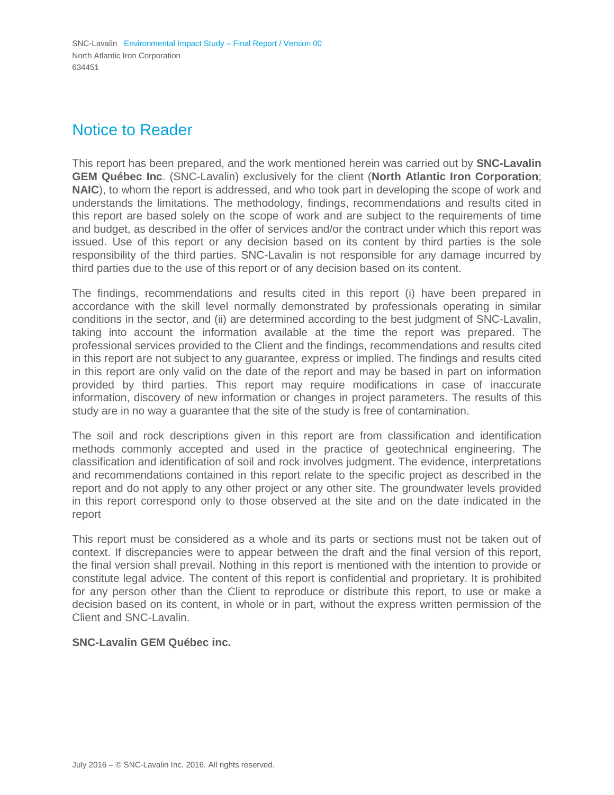### Notice to Reader

This report has been prepared, and the work mentioned herein was carried out by **SNC-Lavalin GEM Québec Inc**. (SNC-Lavalin) exclusively for the client (**North Atlantic Iron Corporation**; **NAIC**), to whom the report is addressed, and who took part in developing the scope of work and understands the limitations. The methodology, findings, recommendations and results cited in this report are based solely on the scope of work and are subject to the requirements of time and budget, as described in the offer of services and/or the contract under which this report was issued. Use of this report or any decision based on its content by third parties is the sole responsibility of the third parties. SNC-Lavalin is not responsible for any damage incurred by third parties due to the use of this report or of any decision based on its content.

The findings, recommendations and results cited in this report (i) have been prepared in accordance with the skill level normally demonstrated by professionals operating in similar conditions in the sector, and (ii) are determined according to the best judgment of SNC-Lavalin, taking into account the information available at the time the report was prepared. The professional services provided to the Client and the findings, recommendations and results cited in this report are not subject to any guarantee, express or implied. The findings and results cited in this report are only valid on the date of the report and may be based in part on information provided by third parties. This report may require modifications in case of inaccurate information, discovery of new information or changes in project parameters. The results of this study are in no way a guarantee that the site of the study is free of contamination.

The soil and rock descriptions given in this report are from classification and identification methods commonly accepted and used in the practice of geotechnical engineering. The classification and identification of soil and rock involves judgment. The evidence, interpretations and recommendations contained in this report relate to the specific project as described in the report and do not apply to any other project or any other site. The groundwater levels provided in this report correspond only to those observed at the site and on the date indicated in the report

This report must be considered as a whole and its parts or sections must not be taken out of context. If discrepancies were to appear between the draft and the final version of this report, the final version shall prevail. Nothing in this report is mentioned with the intention to provide or constitute legal advice. The content of this report is confidential and proprietary. It is prohibited for any person other than the Client to reproduce or distribute this report, to use or make a decision based on its content, in whole or in part, without the express written permission of the Client and SNC-Lavalin.

### **SNC-Lavalin GEM Québec inc.**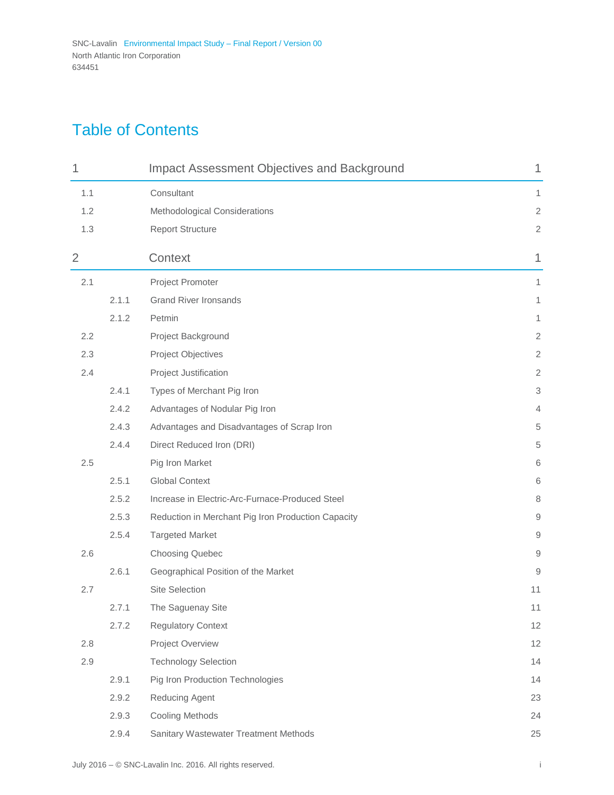# Table of Contents

| 1   |       | <b>Impact Assessment Objectives and Background</b> | 1                      |
|-----|-------|----------------------------------------------------|------------------------|
| 1.1 |       | Consultant                                         | 1                      |
| 1.2 |       | Methodological Considerations                      | $\sqrt{2}$             |
| 1.3 |       | <b>Report Structure</b>                            | $\sqrt{2}$             |
| 2   |       | Context                                            | 1                      |
| 2.1 |       | Project Promoter                                   | 1                      |
|     | 2.1.1 | <b>Grand River Ironsands</b>                       | 1                      |
|     | 2.1.2 | Petmin                                             | 1                      |
| 2.2 |       | Project Background                                 | $\overline{2}$         |
| 2.3 |       | Project Objectives                                 | $\overline{2}$         |
| 2.4 |       | Project Justification                              | $\mathbf{2}$           |
|     | 2.4.1 | Types of Merchant Pig Iron                         | 3                      |
|     | 2.4.2 | Advantages of Nodular Pig Iron                     | 4                      |
|     | 2.4.3 | Advantages and Disadvantages of Scrap Iron         | $\,$ 5 $\,$            |
|     | 2.4.4 | Direct Reduced Iron (DRI)                          | $\,$ 5 $\,$            |
| 2.5 |       | Pig Iron Market                                    | 6                      |
|     | 2.5.1 | <b>Global Context</b>                              | 6                      |
|     | 2.5.2 | Increase in Electric-Arc-Furnace-Produced Steel    | 8                      |
|     | 2.5.3 | Reduction in Merchant Pig Iron Production Capacity | $\hbox{9}$             |
|     | 2.5.4 | <b>Targeted Market</b>                             | 9                      |
| 2.6 |       | <b>Choosing Quebec</b>                             | $\mathrel{\mathsf{g}}$ |
|     | 2.6.1 | Geographical Position of the Market                | 9                      |
| 2.7 |       | <b>Site Selection</b>                              | 11                     |
|     | 2.7.1 | The Saguenay Site                                  | 11                     |
|     | 2.7.2 | <b>Regulatory Context</b>                          | 12                     |
| 2.8 |       | Project Overview                                   | 12                     |
| 2.9 |       | <b>Technology Selection</b>                        | 14                     |
|     | 2.9.1 | Pig Iron Production Technologies                   | 14                     |
|     | 2.9.2 | Reducing Agent                                     | 23                     |
|     | 2.9.3 | <b>Cooling Methods</b>                             | 24                     |
|     | 2.9.4 | Sanitary Wastewater Treatment Methods              | $25\,$                 |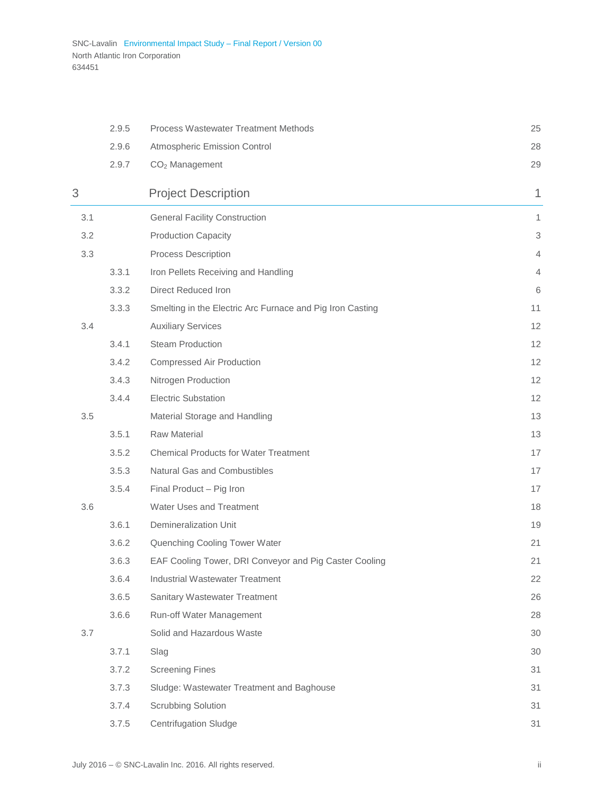|     | 2.9.5 | Process Wastewater Treatment Methods                      | 25             |
|-----|-------|-----------------------------------------------------------|----------------|
|     | 2.9.6 | Atmospheric Emission Control                              | 28             |
|     | 2.9.7 | $CO2$ Management                                          | 29             |
| 3   |       | <b>Project Description</b>                                | 1              |
| 3.1 |       | <b>General Facility Construction</b>                      | 1              |
| 3.2 |       | <b>Production Capacity</b>                                | 3              |
| 3.3 |       | Process Description                                       | $\overline{4}$ |
|     | 3.3.1 | Iron Pellets Receiving and Handling                       | 4              |
|     | 3.3.2 | Direct Reduced Iron                                       | 6              |
|     | 3.3.3 | Smelting in the Electric Arc Furnace and Pig Iron Casting | 11             |
| 3.4 |       | <b>Auxiliary Services</b>                                 | 12             |
|     | 3.4.1 | <b>Steam Production</b>                                   | 12             |
|     | 3.4.2 | Compressed Air Production                                 | 12             |
|     | 3.4.3 | Nitrogen Production                                       | 12             |
|     | 3.4.4 | <b>Electric Substation</b>                                | 12             |
| 3.5 |       | Material Storage and Handling                             | 13             |
|     | 3.5.1 | <b>Raw Material</b>                                       | 13             |
|     | 3.5.2 | <b>Chemical Products for Water Treatment</b>              | 17             |
|     | 3.5.3 | Natural Gas and Combustibles                              | 17             |
|     | 3.5.4 | Final Product - Pig Iron                                  | 17             |
| 3.6 |       | Water Uses and Treatment                                  | 18             |
|     | 3.6.1 | <b>Demineralization Unit</b>                              | 19             |
|     | 3.6.2 | Quenching Cooling Tower Water                             | 21             |
|     | 3.6.3 | EAF Cooling Tower, DRI Conveyor and Pig Caster Cooling    | 21             |
|     | 3.6.4 | <b>Industrial Wastewater Treatment</b>                    | 22             |
|     | 3.6.5 | Sanitary Wastewater Treatment                             | 26             |
|     | 3.6.6 | Run-off Water Management                                  | 28             |
| 3.7 |       | Solid and Hazardous Waste                                 | 30             |
|     | 3.7.1 | Slag                                                      | 30             |
|     | 3.7.2 | <b>Screening Fines</b>                                    | 31             |
|     | 3.7.3 | Sludge: Wastewater Treatment and Baghouse                 | 31             |
|     | 3.7.4 | <b>Scrubbing Solution</b>                                 | 31             |
|     | 3.7.5 | <b>Centrifugation Sludge</b>                              | 31             |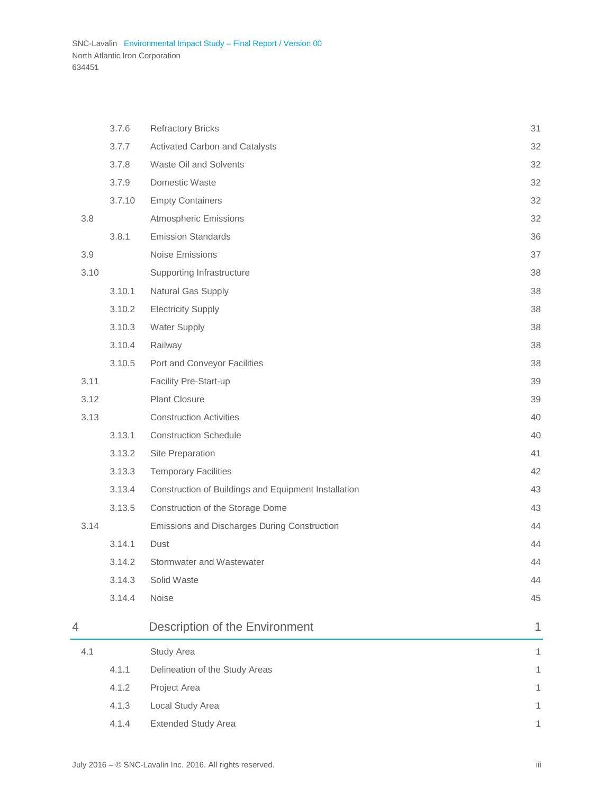|      | 3.7.6  | <b>Refractory Bricks</b>                             | 31 |
|------|--------|------------------------------------------------------|----|
|      | 3.7.7  | Activated Carbon and Catalysts                       | 32 |
|      | 3.7.8  | Waste Oil and Solvents                               | 32 |
|      | 3.7.9  | Domestic Waste                                       | 32 |
|      | 3.7.10 | <b>Empty Containers</b>                              | 32 |
| 3.8  |        | <b>Atmospheric Emissions</b>                         | 32 |
|      | 3.8.1  | <b>Emission Standards</b>                            | 36 |
| 3.9  |        | Noise Emissions                                      | 37 |
| 3.10 |        | Supporting Infrastructure                            | 38 |
|      | 3.10.1 | Natural Gas Supply                                   | 38 |
|      | 3.10.2 | <b>Electricity Supply</b>                            | 38 |
|      | 3.10.3 | <b>Water Supply</b>                                  | 38 |
|      | 3.10.4 | Railway                                              | 38 |
|      | 3.10.5 | Port and Conveyor Facilities                         | 38 |
| 3.11 |        | Facility Pre-Start-up                                | 39 |
| 3.12 |        | <b>Plant Closure</b>                                 | 39 |
| 3.13 |        | <b>Construction Activities</b>                       | 40 |
|      | 3.13.1 | <b>Construction Schedule</b>                         | 40 |
|      | 3.13.2 | Site Preparation                                     | 41 |
|      | 3.13.3 | <b>Temporary Facilities</b>                          | 42 |
|      | 3.13.4 | Construction of Buildings and Equipment Installation | 43 |
|      | 3.13.5 | Construction of the Storage Dome                     | 43 |
| 3.14 |        | Emissions and Discharges During Construction         | 44 |
|      | 3.14.1 | Dust                                                 | 44 |
|      | 3.14.2 | Stormwater and Wastewater                            | 44 |
|      | 3.14.3 | Solid Waste                                          | 44 |
|      | 3.14.4 | Noise                                                | 45 |
| 4    |        | Description of the Environment                       | 1  |
| 4.1  |        | Study Area                                           | 1  |
|      | 4.1.1  | Delineation of the Study Areas                       | 1  |
|      | 4.1.2  | Project Area                                         | 1  |
|      | 4.1.3  | Local Study Area                                     | 1  |
|      | 4.1.4  | <b>Extended Study Area</b>                           | 1  |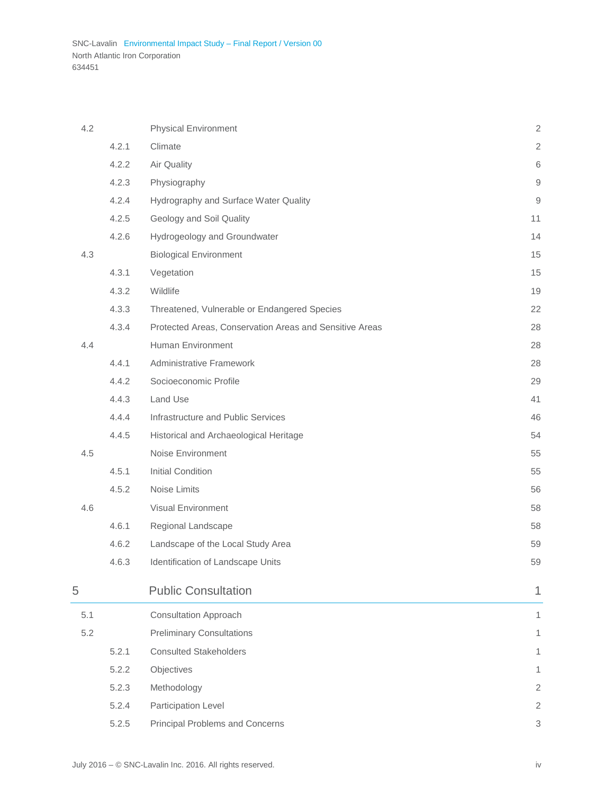| 4.2 |       | <b>Physical Environment</b>                             | $\sqrt{2}$             |
|-----|-------|---------------------------------------------------------|------------------------|
|     | 4.2.1 | Climate                                                 | $\sqrt{2}$             |
|     | 4.2.2 | Air Quality                                             | $\,6$                  |
|     | 4.2.3 | Physiography                                            | $\mathsf 9$            |
|     | 4.2.4 | Hydrography and Surface Water Quality                   | $\mathrel{\mathsf{g}}$ |
|     | 4.2.5 | Geology and Soil Quality                                | 11                     |
|     | 4.2.6 | Hydrogeology and Groundwater                            | 14                     |
| 4.3 |       | <b>Biological Environment</b>                           | 15                     |
|     | 4.3.1 | Vegetation                                              | 15                     |
|     | 4.3.2 | Wildlife                                                | 19                     |
|     | 4.3.3 | Threatened, Vulnerable or Endangered Species            | 22                     |
|     | 4.3.4 | Protected Areas, Conservation Areas and Sensitive Areas | 28                     |
| 4.4 |       | Human Environment                                       | 28                     |
|     | 4.4.1 | <b>Administrative Framework</b>                         | 28                     |
|     | 4.4.2 | Socioeconomic Profile                                   | 29                     |
|     | 4.4.3 | Land Use                                                | 41                     |
|     | 4.4.4 | Infrastructure and Public Services                      | 46                     |
|     | 4.4.5 | Historical and Archaeological Heritage                  | 54                     |
| 4.5 |       | Noise Environment                                       | 55                     |
|     | 4.5.1 | <b>Initial Condition</b>                                | 55                     |
|     | 4.5.2 | Noise Limits                                            | 56                     |
| 4.6 |       | Visual Environment                                      | 58                     |
|     | 4.6.1 | Regional Landscape                                      | 58                     |
|     | 4.6.2 | Landscape of the Local Study Area                       | 59                     |
|     | 4.6.3 | Identification of Landscape Units                       | 59                     |
| 5   |       | <b>Public Consultation</b>                              | 1                      |
| 5.1 |       | <b>Consultation Approach</b>                            | 1                      |
| 5.2 |       | <b>Preliminary Consultations</b>                        | 1                      |
|     | 5.2.1 | <b>Consulted Stakeholders</b>                           | 1                      |
|     | 5.2.2 | Objectives                                              | 1                      |
|     | 5.2.3 | Methodology                                             | $\overline{2}$         |
|     | 5.2.4 | Participation Level                                     | $\overline{2}$         |
|     | 5.2.5 | <b>Principal Problems and Concerns</b>                  | 3                      |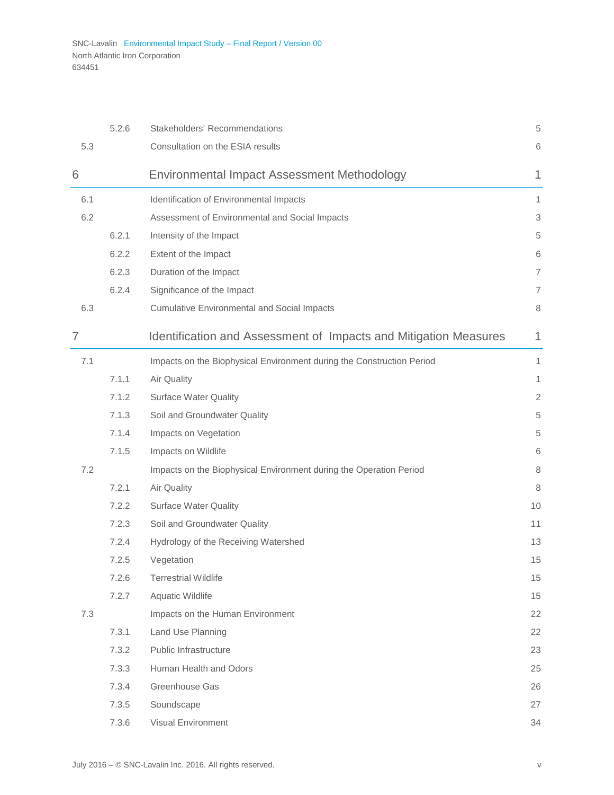|                | 5.2.6 | Stakeholders' Recommendations                                         | 5              |
|----------------|-------|-----------------------------------------------------------------------|----------------|
| 5.3            |       | Consultation on the ESIA results                                      | 6              |
| 6              |       | Environmental Impact Assessment Methodology                           | 1              |
| 6.1            |       | Identification of Environmental Impacts                               | 1              |
| 6.2            |       | Assessment of Environmental and Social Impacts                        | 3              |
|                | 6.2.1 | Intensity of the Impact                                               | 5              |
|                | 6.2.2 | Extent of the Impact                                                  | 6              |
|                | 6.2.3 | Duration of the Impact                                                | 7              |
|                | 6.2.4 | Significance of the Impact                                            | $\overline{7}$ |
| 6.3            |       | <b>Cumulative Environmental and Social Impacts</b>                    | 8              |
| $\overline{7}$ |       | Identification and Assessment of Impacts and Mitigation Measures      | 1              |
| 7.1            |       | Impacts on the Biophysical Environment during the Construction Period | 1              |
|                | 7.1.1 | Air Quality                                                           | $\mathbf{1}$   |
|                | 7.1.2 | <b>Surface Water Quality</b>                                          | $\overline{2}$ |
|                | 7.1.3 | Soil and Groundwater Quality                                          | 5              |
|                | 7.1.4 | Impacts on Vegetation                                                 | 5              |
|                | 7.1.5 | Impacts on Wildlife                                                   | 6              |
| 7.2            |       | Impacts on the Biophysical Environment during the Operation Period    | 8              |
|                | 7.2.1 | Air Quality                                                           | 8              |
|                | 7.2.2 | <b>Surface Water Quality</b>                                          | 10             |
|                | 7.2.3 | Soil and Groundwater Quality                                          | 11             |
|                | 7.2.4 | Hydrology of the Receiving Watershed                                  | 13             |
|                | 7.2.5 | Vegetation                                                            | 15             |
|                | 7.2.6 | <b>Terrestrial Wildlife</b>                                           | 15             |
|                | 7.2.7 | Aquatic Wildlife                                                      | 15             |
| 7.3            |       | Impacts on the Human Environment                                      | 22             |
|                | 7.3.1 | Land Use Planning                                                     | 22             |
|                | 7.3.2 | Public Infrastructure                                                 | 23             |
|                | 7.3.3 | Human Health and Odors                                                | 25             |
|                | 7.3.4 | Greenhouse Gas                                                        | 26             |
|                | 7.3.5 | Soundscape                                                            | 27             |
|                | 7.3.6 | Visual Environment                                                    | 34             |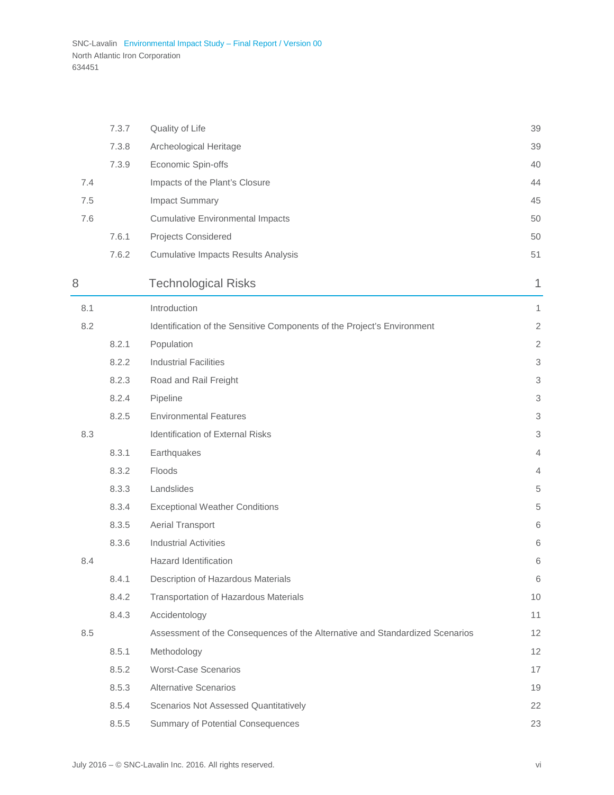j.

|     | 7.3.7 | Quality of Life                                                              | 39             |
|-----|-------|------------------------------------------------------------------------------|----------------|
|     | 7.3.8 | Archeological Heritage                                                       | 39             |
|     | 7.3.9 | Economic Spin-offs                                                           | 40             |
| 7.4 |       | Impacts of the Plant's Closure                                               | 44             |
| 7.5 |       | Impact Summary                                                               | 45             |
| 7.6 |       | <b>Cumulative Environmental Impacts</b>                                      | 50             |
|     | 7.6.1 | Projects Considered                                                          | 50             |
|     | 7.6.2 | <b>Cumulative Impacts Results Analysis</b>                                   | 51             |
| 8   |       | <b>Technological Risks</b>                                                   | 1              |
| 8.1 |       | Introduction                                                                 | 1              |
| 8.2 |       | Identification of the Sensitive Components of the Project's Environment      | $\sqrt{2}$     |
|     | 8.2.1 | Population                                                                   | $\sqrt{2}$     |
|     | 8.2.2 | <b>Industrial Facilities</b>                                                 | 3              |
|     | 8.2.3 | Road and Rail Freight                                                        | 3              |
|     | 8.2.4 | Pipeline                                                                     | 3              |
|     | 8.2.5 | <b>Environmental Features</b>                                                | 3              |
| 8.3 |       | Identification of External Risks                                             | 3              |
|     | 8.3.1 | Earthquakes                                                                  | $\overline{4}$ |
|     | 8.3.2 | Floods                                                                       | $\overline{4}$ |
|     | 8.3.3 | Landslides                                                                   | 5              |
|     | 8.3.4 | <b>Exceptional Weather Conditions</b>                                        | 5              |
|     | 8.3.5 | Aerial Transport                                                             | 6              |
|     | 8.3.6 | <b>Industrial Activities</b>                                                 | 6              |
| 8.4 |       | <b>Hazard Identification</b>                                                 | 6              |
|     | 8.4.1 | Description of Hazardous Materials                                           | 6              |
|     | 8.4.2 | Transportation of Hazardous Materials                                        | 10             |
|     | 8.4.3 | Accidentology                                                                | 11             |
| 8.5 |       | Assessment of the Consequences of the Alternative and Standardized Scenarios | 12             |
|     | 8.5.1 | Methodology                                                                  | 12             |
|     | 8.5.2 | <b>Worst-Case Scenarios</b>                                                  | 17             |
|     | 8.5.3 | <b>Alternative Scenarios</b>                                                 | 19             |
|     | 8.5.4 | <b>Scenarios Not Assessed Quantitatively</b>                                 | 22             |
|     | 8.5.5 | Summary of Potential Consequences                                            | 23             |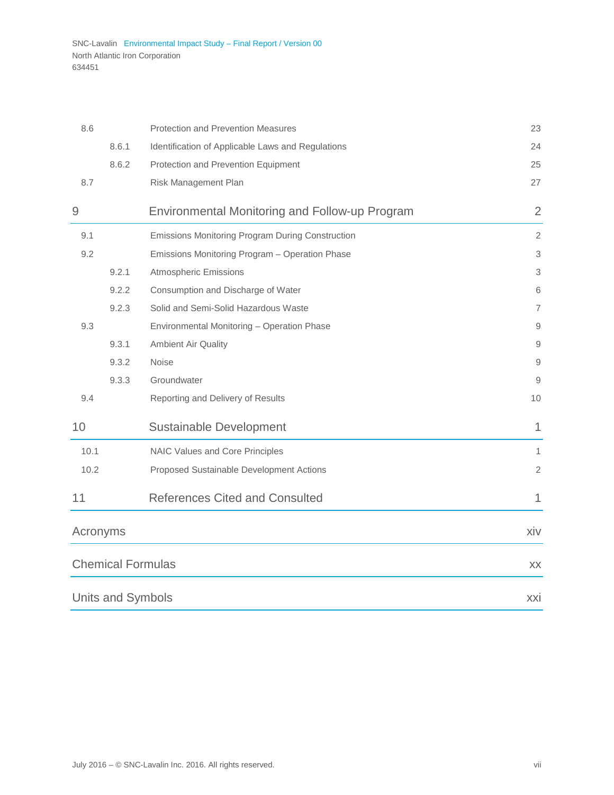| 8.6            |                   | <b>Protection and Prevention Measures</b>             | 23             |
|----------------|-------------------|-------------------------------------------------------|----------------|
|                | 8.6.1             | Identification of Applicable Laws and Regulations     | 24             |
|                | 8.6.2             | Protection and Prevention Equipment                   | 25             |
| 8.7            |                   | Risk Management Plan                                  | 27             |
| $\overline{9}$ |                   | <b>Environmental Monitoring and Follow-up Program</b> | $\overline{2}$ |
| 9.1            |                   | Emissions Monitoring Program During Construction      | 2              |
| 9.2            |                   | Emissions Monitoring Program - Operation Phase        | 3              |
|                | 9.2.1             | <b>Atmospheric Emissions</b>                          | 3              |
|                | 9.2.2             | Consumption and Discharge of Water                    | 6              |
|                | 9.2.3             | Solid and Semi-Solid Hazardous Waste                  | 7              |
| 9.3            |                   | Environmental Monitoring - Operation Phase            | 9              |
|                | 9.3.1             | <b>Ambient Air Quality</b>                            | 9              |
|                | 9.3.2             | <b>Noise</b>                                          | 9              |
|                | 9.3.3             | Groundwater                                           | 9              |
| 9.4            |                   | Reporting and Delivery of Results                     | 10             |
| 10             |                   | <b>Sustainable Development</b>                        | 1              |
| 10.1           |                   | NAIC Values and Core Principles                       | 1              |
| 10.2           |                   | Proposed Sustainable Development Actions              | $\overline{2}$ |
| 11             |                   | <b>References Cited and Consulted</b>                 | 1              |
| Acronyms       |                   |                                                       | xiv            |
|                |                   | <b>Chemical Formulas</b>                              | XX             |
|                | Units and Symbols |                                                       | <b>XXI</b>     |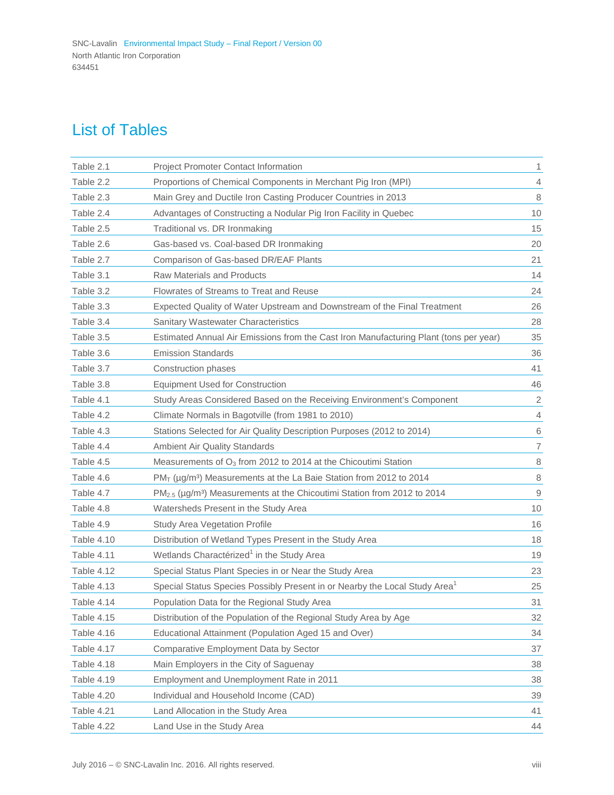### List of Tables

| Table 2.1         | Project Promoter Contact Information                                                            | 1                        |
|-------------------|-------------------------------------------------------------------------------------------------|--------------------------|
| Table 2.2         | Proportions of Chemical Components in Merchant Pig Iron (MPI)                                   | $\overline{4}$           |
| Table 2.3         | Main Grey and Ductile Iron Casting Producer Countries in 2013                                   | 8                        |
| Table 2.4         | Advantages of Constructing a Nodular Pig Iron Facility in Quebec                                | 10                       |
| Table 2.5         | Traditional vs. DR Ironmaking                                                                   | 15                       |
| Table 2.6         | Gas-based vs. Coal-based DR Ironmaking                                                          | 20                       |
| Table 2.7         | Comparison of Gas-based DR/EAF Plants                                                           | 21                       |
| Table 3.1         | <b>Raw Materials and Products</b>                                                               | 14                       |
| Table 3.2         | Flowrates of Streams to Treat and Reuse                                                         | 24                       |
| Table 3.3         | Expected Quality of Water Upstream and Downstream of the Final Treatment                        | 26                       |
| Table 3.4         | Sanitary Wastewater Characteristics                                                             | 28                       |
| Table 3.5         | Estimated Annual Air Emissions from the Cast Iron Manufacturing Plant (tons per year)           | 35                       |
| Table 3.6         | <b>Emission Standards</b>                                                                       | 36                       |
| Table 3.7         | Construction phases                                                                             | 41                       |
| Table 3.8         | <b>Equipment Used for Construction</b>                                                          | 46                       |
| Table 4.1         | Study Areas Considered Based on the Receiving Environment's Component                           | $\overline{2}$           |
| Table 4.2         | Climate Normals in Bagotville (from 1981 to 2010)                                               | $\overline{4}$           |
| Table 4.3         | Stations Selected for Air Quality Description Purposes (2012 to 2014)                           | 6                        |
| Table 4.4         | Ambient Air Quality Standards                                                                   | $\overline{\mathcal{I}}$ |
| Table 4.5         | Measurements of O <sub>3</sub> from 2012 to 2014 at the Chicoutimi Station                      | $\,8\,$                  |
| Table 4.6         | $PM_T$ (µg/m <sup>3</sup> ) Measurements at the La Baie Station from 2012 to 2014               | $\,8\,$                  |
| Table 4.7         | PM <sub>2.5</sub> (µg/m <sup>3</sup> ) Measurements at the Chicoutimi Station from 2012 to 2014 | $\mathsf{9}$             |
| Table 4.8         | Watersheds Present in the Study Area                                                            | 10                       |
| Table 4.9         | Study Area Vegetation Profile                                                                   | 16                       |
| <b>Table 4.10</b> | Distribution of Wetland Types Present in the Study Area                                         | 18                       |
| Table 4.11        | Wetlands Charactérized <sup>1</sup> in the Study Area                                           | 19                       |
| Table 4.12        | Special Status Plant Species in or Near the Study Area                                          | 23                       |
| <b>Table 4.13</b> | Special Status Species Possibly Present in or Nearby the Local Study Area <sup>1</sup>          | 25                       |
| Table 4.14        | Population Data for the Regional Study Area                                                     | 31                       |
| <b>Table 4.15</b> | Distribution of the Population of the Regional Study Area by Age                                | 32                       |
| Table 4.16        | Educational Attainment (Population Aged 15 and Over)                                            | 34                       |
| Table 4.17        | Comparative Employment Data by Sector                                                           | 37                       |
| Table 4.18        | Main Employers in the City of Saguenay                                                          | 38                       |
| <b>Table 4.19</b> | Employment and Unemployment Rate in 2011                                                        | 38                       |
| Table 4.20        | Individual and Household Income (CAD)                                                           | 39                       |
| Table 4.21        | Land Allocation in the Study Area                                                               | 41                       |
| Table 4.22        | Land Use in the Study Area                                                                      | 44                       |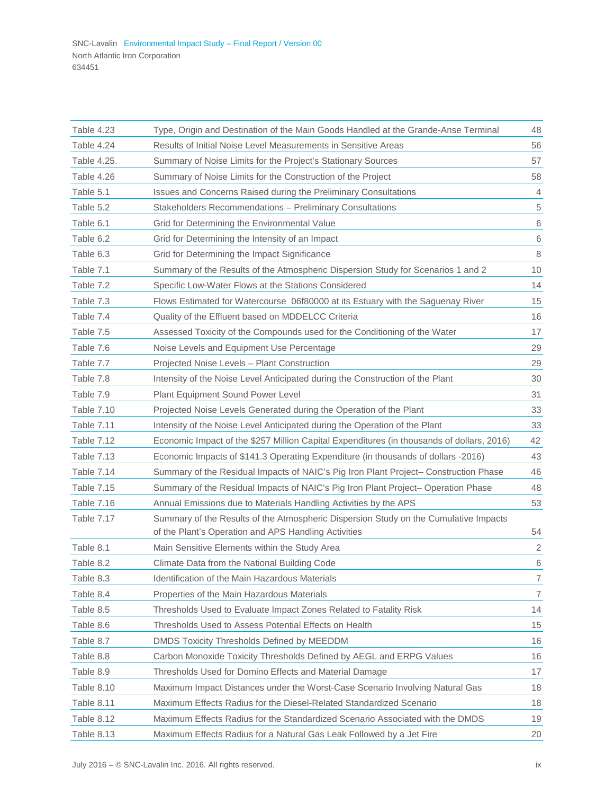| Table 4.23<br>Type, Origin and Destination of the Main Goods Handled at the Grande-Anse Terminal                   | 48             |
|--------------------------------------------------------------------------------------------------------------------|----------------|
| Table 4.24<br>Results of Initial Noise Level Measurements in Sensitive Areas                                       | 56             |
| Table 4.25.<br>Summary of Noise Limits for the Project's Stationary Sources                                        | 57             |
| Table 4.26<br>Summary of Noise Limits for the Construction of the Project                                          | 58             |
| Table 5.1<br>Issues and Concerns Raised during the Preliminary Consultations                                       | $\overline{4}$ |
| Table 5.2<br>Stakeholders Recommendations - Preliminary Consultations                                              | $\,$ 5 $\,$    |
| Table 6.1<br>Grid for Determining the Environmental Value                                                          | 6              |
| Table 6.2<br>Grid for Determining the Intensity of an Impact                                                       | 6              |
| Table 6.3<br>Grid for Determining the Impact Significance                                                          | $\,8\,$        |
| Table 7.1<br>Summary of the Results of the Atmospheric Dispersion Study for Scenarios 1 and 2                      | 10             |
| Table 7.2<br>Specific Low-Water Flows at the Stations Considered                                                   | 14             |
| Table 7.3<br>Flows Estimated for Watercourse 06f80000 at its Estuary with the Saguenay River                       | 15             |
| Table 7.4<br>Quality of the Effluent based on MDDELCC Criteria                                                     | 16             |
| Table 7.5<br>Assessed Toxicity of the Compounds used for the Conditioning of the Water                             | 17             |
| Table 7.6<br>Noise Levels and Equipment Use Percentage                                                             | 29             |
| Table 7.7<br>Projected Noise Levels - Plant Construction                                                           | 29             |
| Table 7.8<br>Intensity of the Noise Level Anticipated during the Construction of the Plant                         | 30             |
| Table 7.9<br>Plant Equipment Sound Power Level                                                                     | 31             |
| <b>Table 7.10</b><br>Projected Noise Levels Generated during the Operation of the Plant                            | 33             |
| <b>Table 7.11</b><br>Intensity of the Noise Level Anticipated during the Operation of the Plant                    | 33             |
| Table 7.12<br>Economic Impact of the \$257 Million Capital Expenditures (in thousands of dollars, 2016)            | 42             |
| <b>Table 7.13</b><br>Economic Impacts of \$141.3 Operating Expenditure (in thousands of dollars -2016)             | 43             |
| Table 7.14<br>Summary of the Residual Impacts of NAIC's Pig Iron Plant Project– Construction Phase                 | 46             |
| <b>Table 7.15</b><br>Summary of the Residual Impacts of NAIC's Pig Iron Plant Project- Operation Phase             | 48             |
| Table 7.16<br>Annual Emissions due to Materials Handling Activities by the APS                                     | 53             |
| Summary of the Results of the Atmospheric Dispersion Study on the Cumulative Impacts<br>Table 7.17                 | 54             |
| of the Plant's Operation and APS Handling Activities<br>Main Sensitive Elements within the Study Area<br>Table 8.1 | $\overline{2}$ |
| Table 8.2<br>Climate Data from the National Building Code                                                          | 6              |
| Table 8.3<br>Identification of the Main Hazardous Materials                                                        | $\overline{7}$ |
| Table 8.4<br>Properties of the Main Hazardous Materials                                                            | 7              |
| Table 8.5<br>Thresholds Used to Evaluate Impact Zones Related to Fatality Risk                                     | 14             |
| Table 8.6<br>Thresholds Used to Assess Potential Effects on Health                                                 | 15             |
| Table 8.7<br>DMDS Toxicity Thresholds Defined by MEEDDM                                                            | 16             |
| Table 8.8<br>Carbon Monoxide Toxicity Thresholds Defined by AEGL and ERPG Values                                   | 16             |
| Table 8.9<br>Thresholds Used for Domino Effects and Material Damage                                                | 17             |
| Table 8.10<br>Maximum Impact Distances under the Worst-Case Scenario Involving Natural Gas                         | 18             |
| Table 8.11<br>Maximum Effects Radius for the Diesel-Related Standardized Scenario                                  | 18             |
| Maximum Effects Radius for the Standardized Scenario Associated with the DMDS<br>Table 8.12                        | 19             |
| Table 8.13<br>Maximum Effects Radius for a Natural Gas Leak Followed by a Jet Fire                                 | 20             |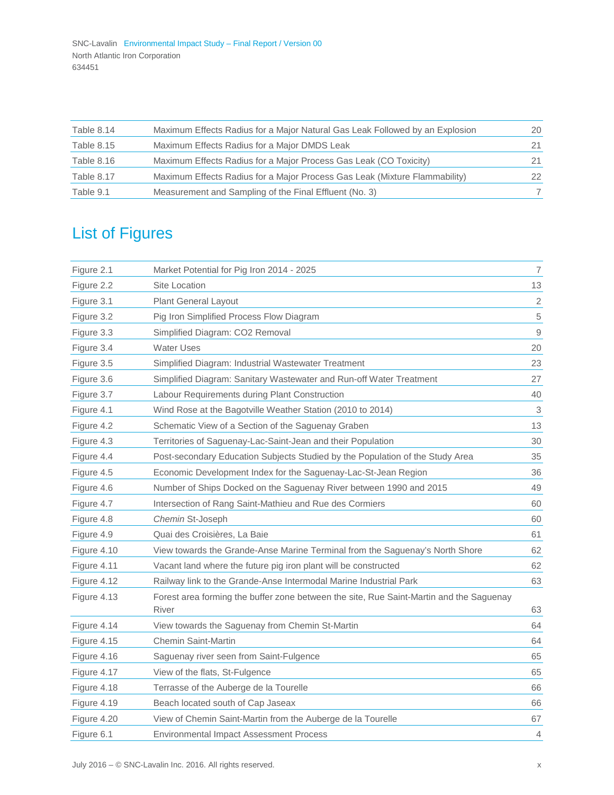| Table 8.14 | Maximum Effects Radius for a Major Natural Gas Leak Followed by an Explosion | 20 |
|------------|------------------------------------------------------------------------------|----|
| Table 8.15 | Maximum Effects Radius for a Major DMDS Leak                                 |    |
| Table 8.16 | Maximum Effects Radius for a Major Process Gas Leak (CO Toxicity)            |    |
| Table 8.17 | Maximum Effects Radius for a Major Process Gas Leak (Mixture Flammability)   | 22 |
| Table 9.1  | Measurement and Sampling of the Final Effluent (No. 3)                       |    |

# List of Figures

| Figure 2.1  | Market Potential for Pig Iron 2014 - 2025                                                        | $\overline{7}$            |
|-------------|--------------------------------------------------------------------------------------------------|---------------------------|
| Figure 2.2  | Site Location                                                                                    | 13                        |
| Figure 3.1  | <b>Plant General Layout</b>                                                                      | $\overline{2}$            |
| Figure 3.2  | Pig Iron Simplified Process Flow Diagram                                                         | $\,$ 5 $\,$               |
| Figure 3.3  | Simplified Diagram: CO2 Removal                                                                  | $\mathsf 9$               |
| Figure 3.4  | <b>Water Uses</b>                                                                                | 20                        |
| Figure 3.5  | Simplified Diagram: Industrial Wastewater Treatment                                              | 23                        |
| Figure 3.6  | Simplified Diagram: Sanitary Wastewater and Run-off Water Treatment                              | 27                        |
| Figure 3.7  | Labour Requirements during Plant Construction                                                    | 40                        |
| Figure 4.1  | Wind Rose at the Bagotville Weather Station (2010 to 2014)                                       | $\ensuremath{\mathsf{3}}$ |
| Figure 4.2  | Schematic View of a Section of the Saguenay Graben                                               | 13                        |
| Figure 4.3  | Territories of Saguenay-Lac-Saint-Jean and their Population                                      | 30                        |
| Figure 4.4  | Post-secondary Education Subjects Studied by the Population of the Study Area                    | 35                        |
| Figure 4.5  | Economic Development Index for the Saguenay-Lac-St-Jean Region                                   | 36                        |
| Figure 4.6  | Number of Ships Docked on the Saguenay River between 1990 and 2015                               | 49                        |
| Figure 4.7  | Intersection of Rang Saint-Mathieu and Rue des Cormiers                                          | 60                        |
| Figure 4.8  | Chemin St-Joseph                                                                                 | 60                        |
| Figure 4.9  | Quai des Croisières. La Baie                                                                     | 61                        |
| Figure 4.10 | View towards the Grande-Anse Marine Terminal from the Saguenay's North Shore                     | 62                        |
| Figure 4.11 | Vacant land where the future pig iron plant will be constructed                                  | 62                        |
| Figure 4.12 | Railway link to the Grande-Anse Intermodal Marine Industrial Park                                | 63                        |
| Figure 4.13 | Forest area forming the buffer zone between the site, Rue Saint-Martin and the Saguenay<br>River | 63                        |
| Figure 4.14 | View towards the Saguenay from Chemin St-Martin                                                  | 64                        |
| Figure 4.15 | <b>Chemin Saint-Martin</b>                                                                       | 64                        |
| Figure 4.16 | Saguenay river seen from Saint-Fulgence                                                          | 65                        |
| Figure 4.17 | View of the flats, St-Fulgence                                                                   | 65                        |
| Figure 4.18 | Terrasse of the Auberge de la Tourelle                                                           | 66                        |
| Figure 4.19 | Beach located south of Cap Jaseax                                                                | 66                        |
| Figure 4.20 | View of Chemin Saint-Martin from the Auberge de la Tourelle                                      | 67                        |
| Figure 6.1  | <b>Environmental Impact Assessment Process</b>                                                   | $\overline{4}$            |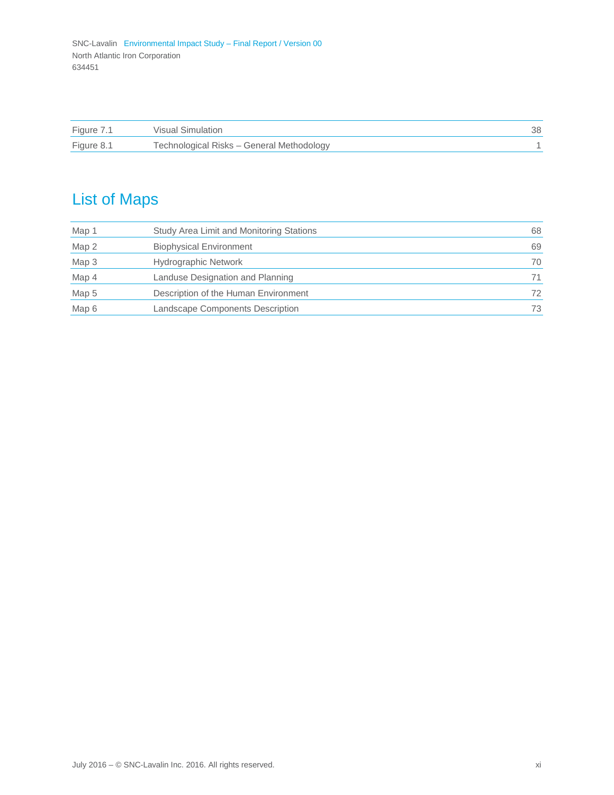| Figure 7.1 | Visual Simulation                         |  |
|------------|-------------------------------------------|--|
| Figure 8.1 | Technological Risks - General Methodology |  |

# List of Maps

| Map 1 | Study Area Limit and Monitoring Stations | 68  |
|-------|------------------------------------------|-----|
| Map 2 | <b>Biophysical Environment</b>           | 69  |
| Map 3 | Hydrographic Network                     | 70  |
| Map 4 | Landuse Designation and Planning         | 71  |
| Map 5 | Description of the Human Environment     | 72. |
| Map 6 | Landscape Components Description         | 73  |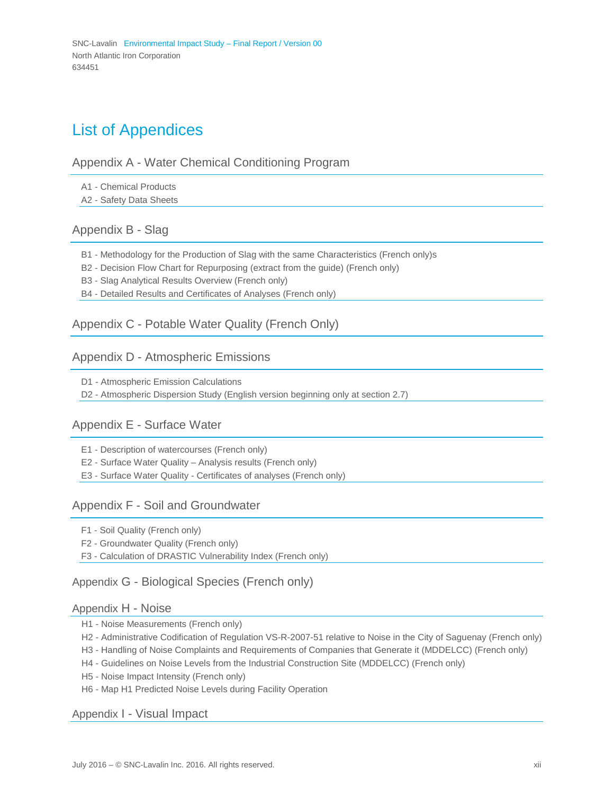### List of Appendices

#### Appendix A - Water Chemical Conditioning Program

A1 - Chemical Products

A2 - Safety Data Sheets

### Appendix B - Slag

- B1 Methodology for the Production of Slag with the same Characteristics (French only)s
- B2 Decision Flow Chart for Repurposing (extract from the guide) (French only)
- B3 Slag Analytical Results Overview (French only)
- B4 Detailed Results and Certificates of Analyses (French only)

### Appendix C - Potable Water Quality (French Only)

#### Appendix D - Atmospheric Emissions

D1 - Atmospheric Emission Calculations

D2 - Atmospheric Dispersion Study (English version beginning only at section 2.7)

### Appendix E - Surface Water

E1 - Description of watercourses (French only)

E2 - Surface Water Quality – Analysis results (French only)

E3 - Surface Water Quality - Certificates of analyses (French only)

#### Appendix F - Soil and Groundwater

F1 - Soil Quality (French only)

F2 - Groundwater Quality (French only)

F3 - Calculation of DRASTIC Vulnerability Index (French only)

### Appendix G - Biological Species (French only)

#### Appendix H - Noise

- H1 Noise Measurements (French only)
- H2 Administrative Codification of Regulation VS-R-2007-51 relative to Noise in the City of Saguenay (French only)
- H3 Handling of Noise Complaints and Requirements of Companies that Generate it (MDDELCC) (French only)
- H4 Guidelines on Noise Levels from the Industrial Construction Site (MDDELCC) (French only)
- H5 Noise Impact Intensity (French only)
- H6 Map H1 Predicted Noise Levels during Facility Operation

#### Appendix I - Visual Impact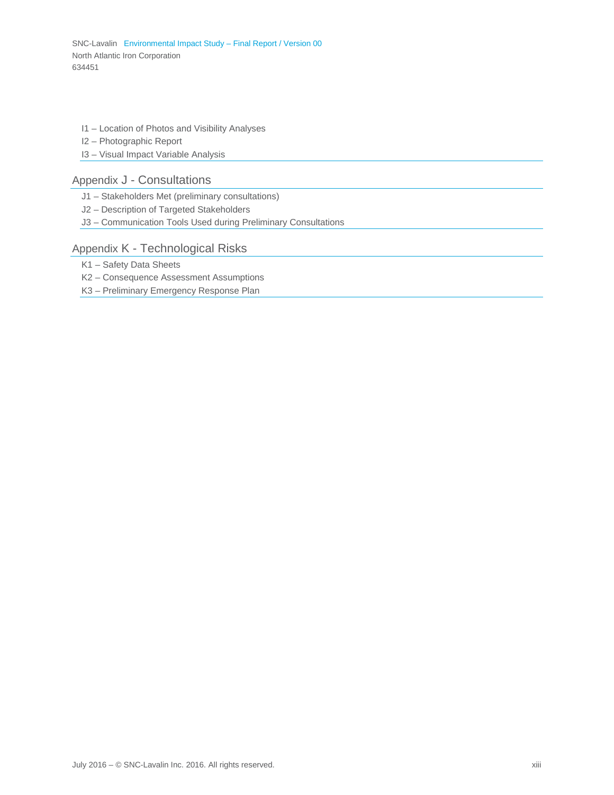I1 – Location of Photos and Visibility Analyses

I2 – Photographic Report

I3 – Visual Impact Variable Analysis

### Appendix J - Consultations

J1 – Stakeholders Met (preliminary consultations)

J2 – Description of Targeted Stakeholders

J3 – Communication Tools Used during Preliminary Consultations

#### Appendix K - Technological Risks

K1 – Safety Data Sheets

K2 – Consequence Assessment Assumptions

K3 – Preliminary Emergency Response Plan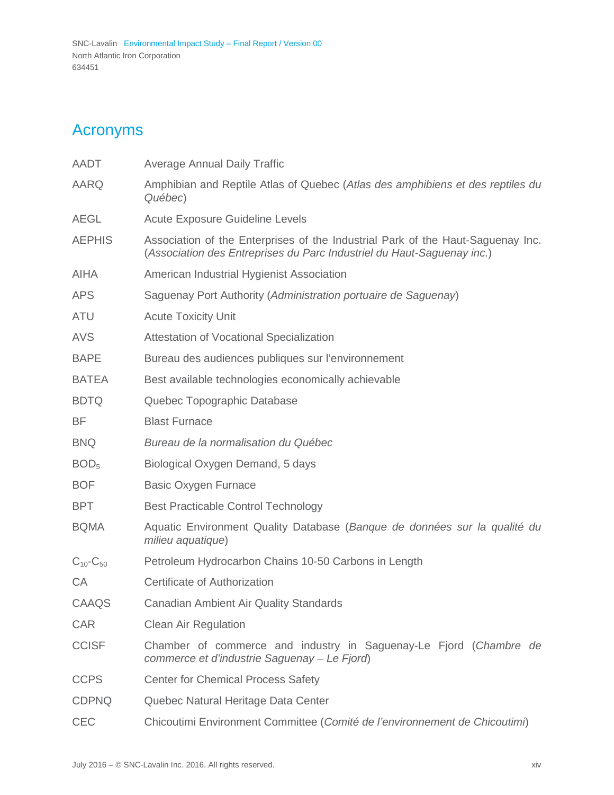# <span id="page-16-0"></span>Acronyms

| AADT                | Average Annual Daily Traffic                                                                                                                              |  |
|---------------------|-----------------------------------------------------------------------------------------------------------------------------------------------------------|--|
| <b>AARQ</b>         | Amphibian and Reptile Atlas of Quebec (Atlas des amphibiens et des reptiles du<br>Québec)                                                                 |  |
| <b>AEGL</b>         | <b>Acute Exposure Guideline Levels</b>                                                                                                                    |  |
| <b>AEPHIS</b>       | Association of the Enterprises of the Industrial Park of the Haut-Saguenay Inc.<br>(Association des Entreprises du Parc Industriel du Haut-Saguenay inc.) |  |
| <b>AIHA</b>         | American Industrial Hygienist Association                                                                                                                 |  |
| <b>APS</b>          | Saguenay Port Authority (Administration portuaire de Saguenay)                                                                                            |  |
| <b>ATU</b>          | <b>Acute Toxicity Unit</b>                                                                                                                                |  |
| <b>AVS</b>          | <b>Attestation of Vocational Specialization</b>                                                                                                           |  |
| <b>BAPE</b>         | Bureau des audiences publiques sur l'environnement                                                                                                        |  |
| <b>BATEA</b>        | Best available technologies economically achievable                                                                                                       |  |
| <b>BDTQ</b>         | Quebec Topographic Database                                                                                                                               |  |
| BF                  | <b>Blast Furnace</b>                                                                                                                                      |  |
| <b>BNQ</b>          | Bureau de la normalisation du Québec                                                                                                                      |  |
| BOD <sub>5</sub>    | Biological Oxygen Demand, 5 days                                                                                                                          |  |
| <b>BOF</b>          | <b>Basic Oxygen Furnace</b>                                                                                                                               |  |
| <b>BPT</b>          | <b>Best Practicable Control Technology</b>                                                                                                                |  |
| <b>BQMA</b>         | Aquatic Environment Quality Database (Banque de données sur la qualité du<br>milieu aquatique)                                                            |  |
| $C_{10}$ - $C_{50}$ | Petroleum Hydrocarbon Chains 10-50 Carbons in Length                                                                                                      |  |
| CA                  | Certificate of Authorization                                                                                                                              |  |
| CAAQS               | Canadian Ambient Air Quality Standards                                                                                                                    |  |
| <b>CAR</b>          | <b>Clean Air Regulation</b>                                                                                                                               |  |
| <b>CCISF</b>        | Chamber of commerce and industry in Saguenay-Le Fjord (Chambre de<br>commerce et d'industrie Saguenay - Le Fjord)                                         |  |
| <b>CCPS</b>         | <b>Center for Chemical Process Safety</b>                                                                                                                 |  |
| <b>CDPNQ</b>        | Quebec Natural Heritage Data Center                                                                                                                       |  |
| CEC                 | Chicoutimi Environment Committee (Comité de l'environnement de Chicoutimi)                                                                                |  |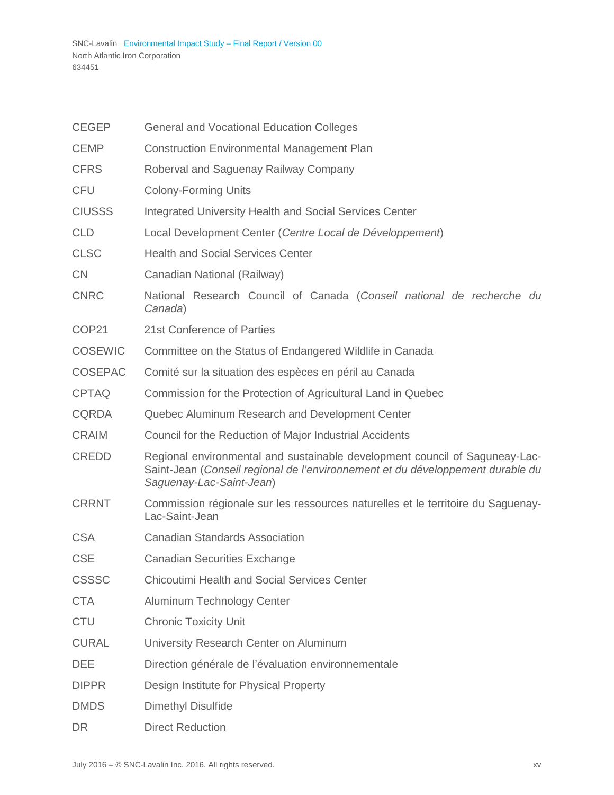| <b>CEGEP</b>   | <b>General and Vocational Education Colleges</b>                                                                                                                                          |
|----------------|-------------------------------------------------------------------------------------------------------------------------------------------------------------------------------------------|
| <b>CEMP</b>    | <b>Construction Environmental Management Plan</b>                                                                                                                                         |
| <b>CFRS</b>    | Roberval and Saguenay Railway Company                                                                                                                                                     |
| <b>CFU</b>     | <b>Colony-Forming Units</b>                                                                                                                                                               |
| <b>CIUSSS</b>  | Integrated University Health and Social Services Center                                                                                                                                   |
| <b>CLD</b>     | Local Development Center (Centre Local de Développement)                                                                                                                                  |
| <b>CLSC</b>    | <b>Health and Social Services Center</b>                                                                                                                                                  |
| CN             | Canadian National (Railway)                                                                                                                                                               |
| <b>CNRC</b>    | National Research Council of Canada (Conseil national de recherche du<br>Canada)                                                                                                          |
| COP21          | 21st Conference of Parties                                                                                                                                                                |
| <b>COSEWIC</b> | Committee on the Status of Endangered Wildlife in Canada                                                                                                                                  |
| <b>COSEPAC</b> | Comité sur la situation des espèces en péril au Canada                                                                                                                                    |
| <b>CPTAQ</b>   | Commission for the Protection of Agricultural Land in Quebec                                                                                                                              |
| <b>CQRDA</b>   | Quebec Aluminum Research and Development Center                                                                                                                                           |
| <b>CRAIM</b>   | Council for the Reduction of Major Industrial Accidents                                                                                                                                   |
| <b>CREDD</b>   | Regional environmental and sustainable development council of Saguneay-Lac-<br>Saint-Jean (Conseil regional de l'environnement et du développement durable du<br>Saguenay-Lac-Saint-Jean) |
| <b>CRRNT</b>   | Commission régionale sur les ressources naturelles et le territoire du Saguenay-<br>Lac-Saint-Jean                                                                                        |
| <b>CSA</b>     | <b>Canadian Standards Association</b>                                                                                                                                                     |
| <b>CSE</b>     | <b>Canadian Securities Exchange</b>                                                                                                                                                       |
| <b>CSSSC</b>   | <b>Chicoutimi Health and Social Services Center</b>                                                                                                                                       |
| <b>CTA</b>     | Aluminum Technology Center                                                                                                                                                                |
| <b>CTU</b>     | <b>Chronic Toxicity Unit</b>                                                                                                                                                              |
| <b>CURAL</b>   | University Research Center on Aluminum                                                                                                                                                    |
| <b>DEE</b>     | Direction générale de l'évaluation environnementale                                                                                                                                       |
| <b>DIPPR</b>   | Design Institute for Physical Property                                                                                                                                                    |
| <b>DMDS</b>    | <b>Dimethyl Disulfide</b>                                                                                                                                                                 |
| <b>DR</b>      | <b>Direct Reduction</b>                                                                                                                                                                   |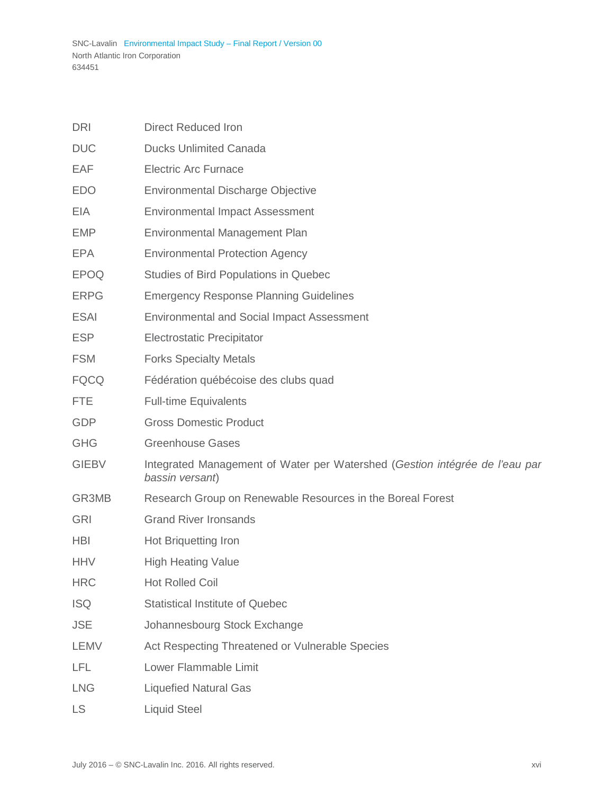| <b>DRI</b>   | <b>Direct Reduced Iron</b>                                                                     |
|--------------|------------------------------------------------------------------------------------------------|
| <b>DUC</b>   | <b>Ducks Unlimited Canada</b>                                                                  |
| EAF          | <b>Electric Arc Furnace</b>                                                                    |
| <b>EDO</b>   | <b>Environmental Discharge Objective</b>                                                       |
| <b>EIA</b>   | <b>Environmental Impact Assessment</b>                                                         |
| EMP          | Environmental Management Plan                                                                  |
| <b>EPA</b>   | <b>Environmental Protection Agency</b>                                                         |
| <b>EPOQ</b>  | Studies of Bird Populations in Quebec                                                          |
| <b>ERPG</b>  | <b>Emergency Response Planning Guidelines</b>                                                  |
| <b>ESAI</b>  | <b>Environmental and Social Impact Assessment</b>                                              |
| <b>ESP</b>   | <b>Electrostatic Precipitator</b>                                                              |
| <b>FSM</b>   | <b>Forks Specialty Metals</b>                                                                  |
| <b>FQCQ</b>  | Fédération québécoise des clubs quad                                                           |
| <b>FTE</b>   | <b>Full-time Equivalents</b>                                                                   |
| <b>GDP</b>   | <b>Gross Domestic Product</b>                                                                  |
| <b>GHG</b>   | <b>Greenhouse Gases</b>                                                                        |
| <b>GIEBV</b> | Integrated Management of Water per Watershed (Gestion intégrée de l'eau par<br>bassin versant) |
| GR3MB        | Research Group on Renewable Resources in the Boreal Forest                                     |
| <b>GRI</b>   | <b>Grand River Ironsands</b>                                                                   |
| <b>HBI</b>   | Hot Briquetting Iron                                                                           |
| <b>HHV</b>   | <b>High Heating Value</b>                                                                      |
| <b>HRC</b>   | <b>Hot Rolled Coil</b>                                                                         |
| <b>ISQ</b>   | <b>Statistical Institute of Quebec</b>                                                         |
| <b>JSE</b>   | Johannesbourg Stock Exchange                                                                   |
| <b>LEMV</b>  | Act Respecting Threatened or Vulnerable Species                                                |
| LFL          | Lower Flammable Limit                                                                          |
| <b>LNG</b>   | <b>Liquefied Natural Gas</b>                                                                   |
| <b>LS</b>    | <b>Liquid Steel</b>                                                                            |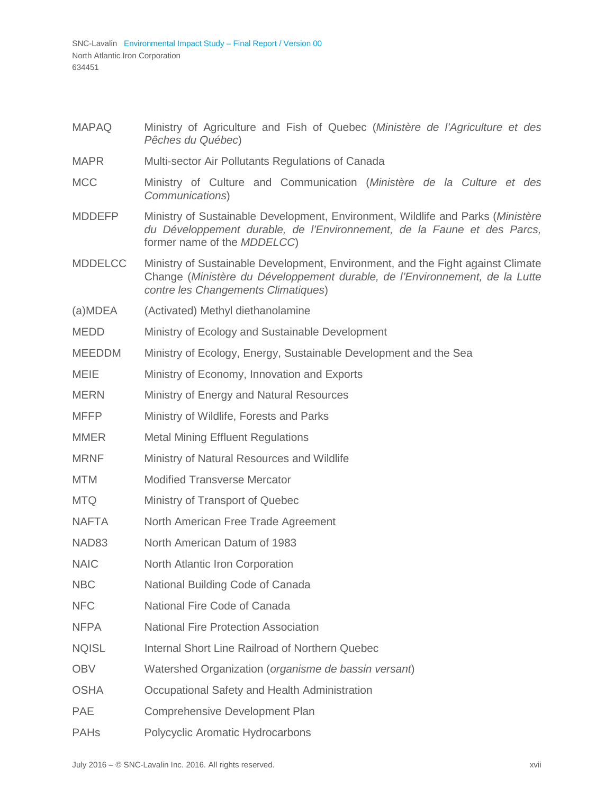- MAPAQ Ministry of Agriculture and Fish of Quebec (*Ministère de l'Agriculture et des Pêches du Québec*)
- MAPR Multi-sector Air Pollutants Regulations of Canada
- MCC Ministry of Culture and Communication (*Ministère de la Culture et des Communications*)
- MDDEFP Ministry of Sustainable Development, Environment, Wildlife and Parks (*Ministère du Développement durable, de l'Environnement, de la Faune et des Parcs,*  former name of the *MDDELCC*)
- MDDELCC Ministry of Sustainable Development, Environment, and the Fight against Climate Change (*Ministère du Développement durable, de l'Environnement, de la Lutte contre les Changements Climatiques*)
- (a)MDEA (Activated) Methyl diethanolamine
- MEDD Ministry of Ecology and Sustainable Development
- MEEDDM Ministry of Ecology, Energy, Sustainable Development and the Sea
- MEIE Ministry of Economy, Innovation and Exports
- MERN Ministry of Energy and Natural Resources
- MFFP Ministry of Wildlife, Forests and Parks
- MMER Metal Mining Effluent Regulations
- MRNF Ministry of Natural Resources and Wildlife
- MTM Modified Transverse Mercator
- MTQ Ministry of Transport of Quebec
- NAFTA North American Free Trade Agreement
- NAD83 North American Datum of 1983
- NAIC North Atlantic Iron Corporation
- NBC National Building Code of Canada
- NFC National Fire Code of Canada
- NFPA National Fire Protection Association
- NQISL Internal Short Line Railroad of Northern Quebec
- OBV Watershed Organization (*organisme de bassin versant*)
- OSHA Occupational Safety and Health Administration
- PAE Comprehensive Development Plan
- PAHs Polycyclic Aromatic Hydrocarbons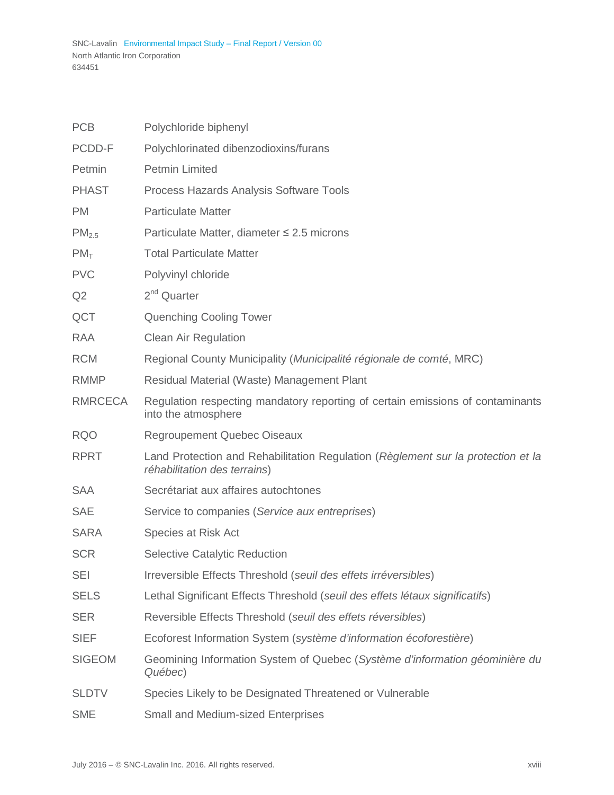| <b>PCB</b>        | Polychloride biphenyl                                                                                            |
|-------------------|------------------------------------------------------------------------------------------------------------------|
| PCDD-F            | Polychlorinated dibenzodioxins/furans                                                                            |
| Petmin            | <b>Petmin Limited</b>                                                                                            |
| <b>PHAST</b>      | Process Hazards Analysis Software Tools                                                                          |
| <b>PM</b>         | <b>Particulate Matter</b>                                                                                        |
| PM <sub>2.5</sub> | Particulate Matter, diameter $\leq$ 2.5 microns                                                                  |
| PM <sub>T</sub>   | <b>Total Particulate Matter</b>                                                                                  |
| <b>PVC</b>        | Polyvinyl chloride                                                                                               |
| Q <sub>2</sub>    | $2nd$ Quarter                                                                                                    |
| QCT               | <b>Quenching Cooling Tower</b>                                                                                   |
| <b>RAA</b>        | <b>Clean Air Regulation</b>                                                                                      |
| <b>RCM</b>        | Regional County Municipality (Municipalité régionale de comté, MRC)                                              |
| <b>RMMP</b>       | Residual Material (Waste) Management Plant                                                                       |
| <b>RMRCECA</b>    | Regulation respecting mandatory reporting of certain emissions of contaminants<br>into the atmosphere            |
| <b>RQO</b>        | <b>Regroupement Quebec Oiseaux</b>                                                                               |
| <b>RPRT</b>       | Land Protection and Rehabilitation Regulation (Reglement sur la protection et la<br>réhabilitation des terrains) |
| <b>SAA</b>        | Secrétariat aux affaires autochtones                                                                             |
| <b>SAE</b>        | Service to companies (Service aux entreprises)                                                                   |
| <b>SARA</b>       | Species at Risk Act                                                                                              |
| <b>SCR</b>        | <b>Selective Catalytic Reduction</b>                                                                             |
| <b>SEI</b>        | Irreversible Effects Threshold (seuil des effets irréversibles)                                                  |
| <b>SELS</b>       | Lethal Significant Effects Threshold (seuil des effets létaux significatifs)                                     |
| <b>SER</b>        | Reversible Effects Threshold (seuil des effets réversibles)                                                      |
| <b>SIEF</b>       | Ecoforest Information System (système d'information écoforestière)                                               |
| <b>SIGEOM</b>     | Geomining Information System of Quebec (Système d'information géominière du<br>Québec)                           |
| <b>SLDTV</b>      | Species Likely to be Designated Threatened or Vulnerable                                                         |
| <b>SME</b>        | <b>Small and Medium-sized Enterprises</b>                                                                        |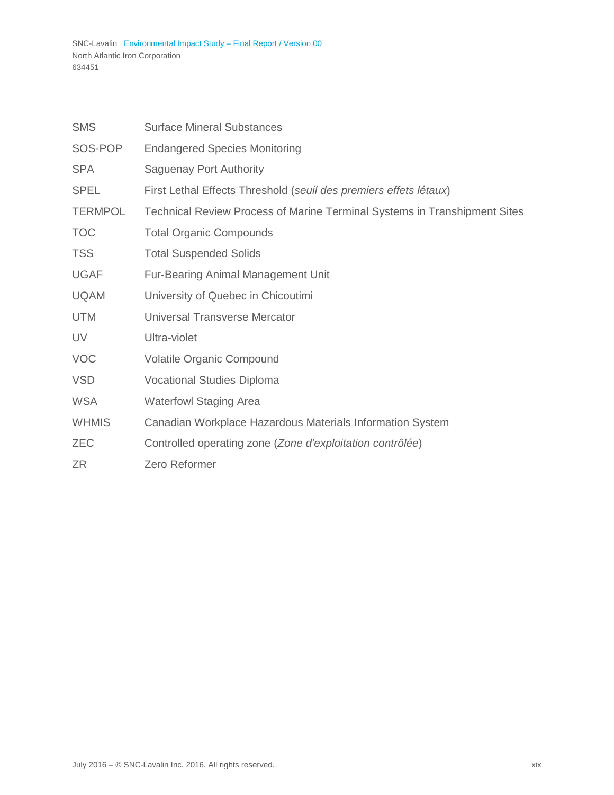| <b>SMS</b>     | <b>Surface Mineral Substances</b>                                         |
|----------------|---------------------------------------------------------------------------|
| SOS-POP        | <b>Endangered Species Monitoring</b>                                      |
| <b>SPA</b>     | <b>Saguenay Port Authority</b>                                            |
| <b>SPEL</b>    | First Lethal Effects Threshold (seuil des premiers effets létaux)         |
| <b>TERMPOL</b> | Technical Review Process of Marine Terminal Systems in Transhipment Sites |
| <b>TOC</b>     | <b>Total Organic Compounds</b>                                            |
| <b>TSS</b>     | <b>Total Suspended Solids</b>                                             |
| <b>UGAF</b>    | <b>Fur-Bearing Animal Management Unit</b>                                 |
| <b>UQAM</b>    | University of Quebec in Chicoutimi                                        |
| <b>UTM</b>     | <b>Universal Transverse Mercator</b>                                      |
| UV             | Ultra-violet                                                              |
| <b>VOC</b>     | Volatile Organic Compound                                                 |
| <b>VSD</b>     | <b>Vocational Studies Diploma</b>                                         |
| <b>WSA</b>     | <b>Waterfowl Staging Area</b>                                             |
| <b>WHMIS</b>   | Canadian Workplace Hazardous Materials Information System                 |
| <b>ZEC</b>     | Controlled operating zone (Zone d'exploitation contrôlée)                 |
| ZR             | Zero Reformer                                                             |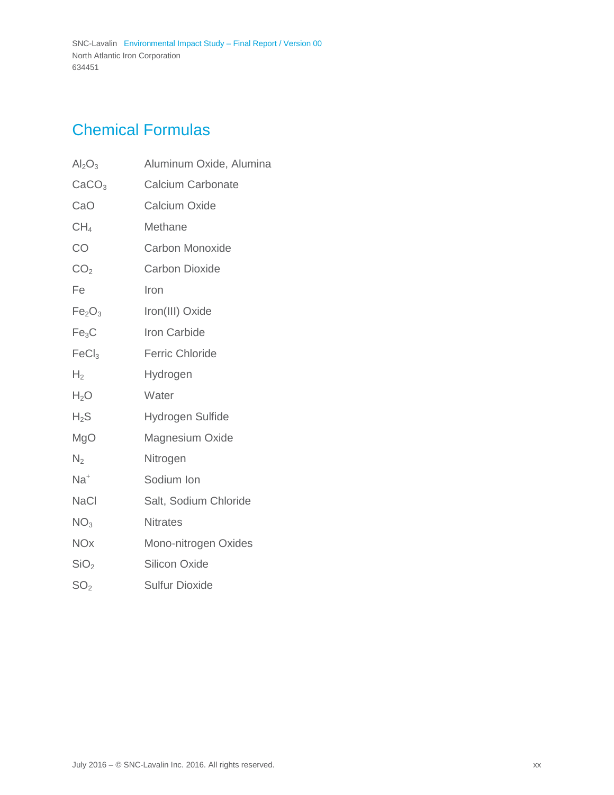# <span id="page-22-0"></span>Chemical Formulas

| $\text{Al}_2\text{O}_3$        | Aluminum Oxide, Alumina  |
|--------------------------------|--------------------------|
| CaCO <sub>3</sub>              | <b>Calcium Carbonate</b> |
| CaO                            | <b>Calcium Oxide</b>     |
| CH <sub>4</sub>                | Methane                  |
| CO                             | <b>Carbon Monoxide</b>   |
| CO <sub>2</sub>                | <b>Carbon Dioxide</b>    |
| Fe                             | Iron                     |
| Fe <sub>2</sub> O <sub>3</sub> | Iron(III) Oxide          |
| Fe <sub>3</sub> C              | Iron Carbide             |
| FeCl <sub>3</sub>              | <b>Ferric Chloride</b>   |
| H <sub>2</sub>                 | Hydrogen                 |
| $H_2O$                         | Water                    |
| $H_2S$                         | Hydrogen Sulfide         |
| MgO                            | Magnesium Oxide          |
| N <sub>2</sub>                 | Nitrogen                 |
| $Na+$                          | Sodium Ion               |
| <b>NaCl</b>                    | Salt, Sodium Chloride    |
| NO <sub>3</sub>                | <b>Nitrates</b>          |
| <b>NOx</b>                     | Mono-nitrogen Oxides     |
| SiO <sub>2</sub>               | <b>Silicon Oxide</b>     |
| SO <sub>2</sub>                | <b>Sulfur Dioxide</b>    |